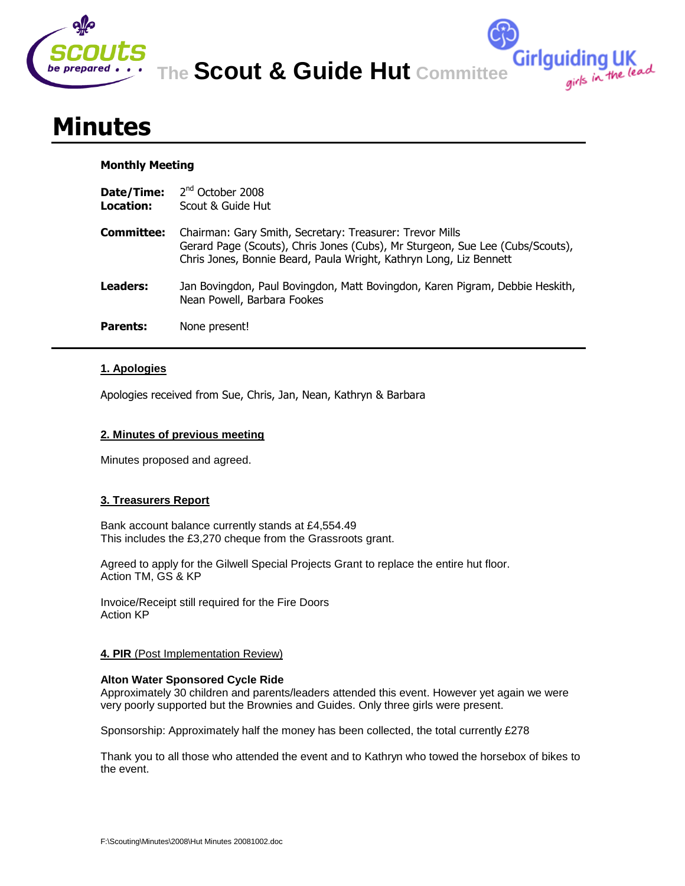

**The Scout & Guide Hut Committee**

**Girlguiding UK**<br>girls in the lead

# **Minutes**

## **Monthly Meeting**

| Date/Time:<br>Location: | 2 <sup>nd</sup> October 2008<br>Scout & Guide Hut                                                                                                                                                               |
|-------------------------|-----------------------------------------------------------------------------------------------------------------------------------------------------------------------------------------------------------------|
| <b>Committee:</b>       | Chairman: Gary Smith, Secretary: Treasurer: Trevor Mills<br>Gerard Page (Scouts), Chris Jones (Cubs), Mr Sturgeon, Sue Lee (Cubs/Scouts),<br>Chris Jones, Bonnie Beard, Paula Wright, Kathryn Long, Liz Bennett |
| Leaders:                | Jan Bovingdon, Paul Bovingdon, Matt Bovingdon, Karen Pigram, Debbie Heskith,<br>Nean Powell, Barbara Fookes                                                                                                     |
| <b>Parents:</b>         | None present!                                                                                                                                                                                                   |

# **1. Apologies**

Apologies received from Sue, Chris, Jan, Nean, Kathryn & Barbara

## **2. Minutes of previous meeting**

Minutes proposed and agreed.

# **3. Treasurers Report**

Bank account balance currently stands at £4,554.49 This includes the £3,270 cheque from the Grassroots grant.

Agreed to apply for the Gilwell Special Projects Grant to replace the entire hut floor. Action TM, GS & KP

Invoice/Receipt still required for the Fire Doors Action KP

## **4. PIR** (Post Implementation Review)

## **Alton Water Sponsored Cycle Ride**

Approximately 30 children and parents/leaders attended this event. However yet again we were very poorly supported but the Brownies and Guides. Only three girls were present.

Sponsorship: Approximately half the money has been collected, the total currently £278

Thank you to all those who attended the event and to Kathryn who towed the horsebox of bikes to the event.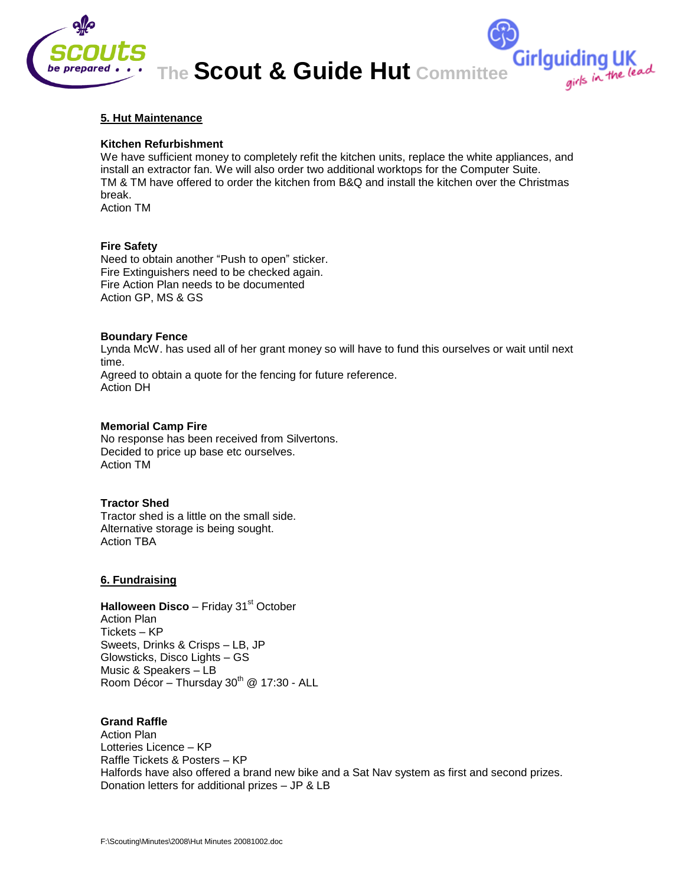

## **5. Hut Maintenance**

#### **Kitchen Refurbishment**

We have sufficient money to completely refit the kitchen units, replace the white appliances, and install an extractor fan. We will also order two additional worktops for the Computer Suite. TM & TM have offered to order the kitchen from B&Q and install the kitchen over the Christmas break. Action TM

# **Fire Safety**

Need to obtain another "Push to open" sticker. Fire Extinguishers need to be checked again. Fire Action Plan needs to be documented Action GP, MS & GS

#### **Boundary Fence**

Lynda McW. has used all of her grant money so will have to fund this ourselves or wait until next time. Agreed to obtain a quote for the fencing for future reference. Action DH

#### **Memorial Camp Fire**

No response has been received from Silvertons. Decided to price up base etc ourselves. Action TM

#### **Tractor Shed**

Tractor shed is a little on the small side. Alternative storage is being sought. Action TBA

#### **6. Fundraising**

**Halloween Disco** – Friday 31<sup>st</sup> October Action Plan Tickets – KP Sweets, Drinks & Crisps – LB, JP Glowsticks, Disco Lights – GS Music & Speakers – LB Room Décor - Thursday  $30^{th}$  @ 17:30 - ALL

# **Grand Raffle**

Action Plan Lotteries Licence – KP Raffle Tickets & Posters – KP Halfords have also offered a brand new bike and a Sat Nav system as first and second prizes. Donation letters for additional prizes – JP & LB